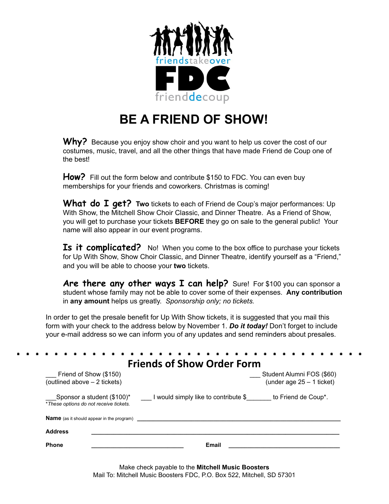

## **BE A FRIEND OF SHOW!**

Why? Because you enjoy show choir and you want to help us cover the cost of our costumes, music, travel, and all the other things that have made Friend de Coup one of the best!

**How?** Fill out the form below and contribute \$150 to FDC. You can even buy memberships for your friends and coworkers. Christmas is coming!

**What do I get? Two** tickets to each of Friend de Coup's major performances: Up With Show, the Mitchell Show Choir Classic, and Dinner Theatre. As a Friend of Show, you will get to purchase your tickets **BEFORE** they go on sale to the general public! Your name will also appear in our event programs.

**Is it complicated?** No! When you come to the box office to purchase your tickets for Up With Show, Show Choir Classic, and Dinner Theatre, identify yourself as a "Friend," and you will be able to choose your **two** tickets.

**Are there any other ways I can help?** Sure! For \$100 you can sponsor a student whose family may not be able to cover some of their expenses. **Any contribution** in **any amount** helps us greatly. *Sponsorship only; no tickets.*

In order to get the presale benefit for Up With Show tickets, it is suggested that you mail this form with your check to the address below by November 1. *Do it today!* Don't forget to include your e-mail address so we can inform you of any updates and send reminders about presales.

| Friend of Show (\$150)                                               | Student Alumni FOS (\$60)                                |  |  |
|----------------------------------------------------------------------|----------------------------------------------------------|--|--|
| (outlined above - 2 tickets)                                         | (under age $25 - 1$ ticket)                              |  |  |
| Sponsor a student (\$100)*<br>*These options do not receive tickets. | I would simply like to contribute \$ to Friend de Coup*. |  |  |
|                                                                      |                                                          |  |  |
| <b>Name</b> (as it should appear in the program)                     |                                                          |  |  |

Make check payable to the **Mitchell Music Boosters** Mail To: Mitchell Music Boosters FDC, P.O. Box 522, Mitchell, SD 57301